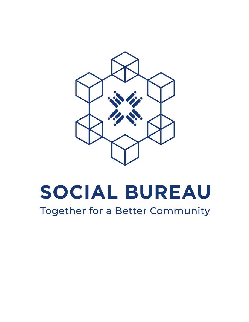

# SOCIAL BUREAU

**Together for a Better Community**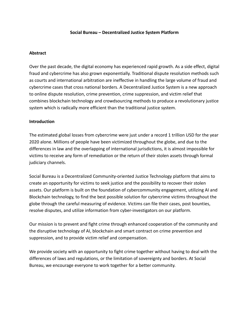# **Social Bureau – Decentralized Justice System Platform**

#### **Abstract**

Over the past decade, the digital economy has experienced rapid growth. As a side effect, digital fraud and cybercrime has also grown exponentially. Traditional dispute resolution methods such as courts and international arbitration are ineffective in handling the large volume of fraud and cybercrime cases that cross national borders. A Decentralized Justice System is a new approach to online dispute resolution, crime prevention, crime suppression, and victim relief that combines blockchain technology and crowdsourcing methods to produce a revolutionary justice system which is radically more efficient than the traditional justice system.

#### **Introduction**

The estimated global losses from cybercrime were just under a record 1 trillion USD for the year 2020 alone. Millions of people have been victimized throughout the globe, and due to the differences in law and the overlapping of international jurisdictions, it is almost impossible for victims to receive any form of remediation or the return of their stolen assets through formal judiciary channels.

Social Bureau is a Decentralized Community-oriented Justice Technology platform that aims to create an opportunity for victims to seek justice and the possibility to recover their stolen assets. Our platform is built on the foundation of cybercommunity engagement, utilizing AI and Blockchain technology, to find the best possible solution for cybercrime victims throughout the globe through the careful measuring of evidence. Victims can file their cases, post bounties, resolve disputes, and utilize information from cyber-investigators on our platform.

Our mission is to prevent and fight crime through enhanced cooperation of the community and the disruptive technology of AI, blockchain and smart contract on crime prevention and suppression, and to provide victim relief and compensation.

We provide society with an opportunity to fight crime together without having to deal with the differences of laws and regulations, or the limitation of sovereignty and borders. At Social Bureau, we encourage everyone to work together for a better community.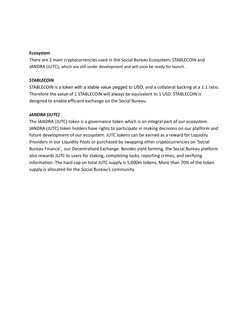#### **Ecosystem**

There are 2 main cryptocurrencies used in the Social Bureau Ecosystem: STABLECOIN and JANDRA (JUTC), which are still under development and will soon be ready for launch .

#### *STABLECOIN*

STABLECOIN is a token with a stable value pegged to USD, and a collateral backing at a 1:1 ratio. Therefore the value of 1 STABLECOIN will always be equivalent to 1 USD. STABLECOIN is designed to enable efficient exchange on the Social Bureau.

#### *JANDRA (JUTC)*

The JANDRA (JUTC) token is a governance token which is an integral part of our ecosystem. JANDRA (JUTC) token holders have rights to participate in making decisions on our platform and future development of our ecosystem. JUTC tokens can be earned as a reward for Liquidity Providers in our Liquidity Pools or purchased by swapping other cryptocurrencies on 'Social Bureau Finance', our Decentralized Exchange. Besides yield farming, the Social Bureau platform also rewards JUTC to users for staking, completing tasks, reporting crimes, and verifying information. The hard cap on total JUTC supply is 5,000m tokens. More than 70% of the token supply is allocated for the Social Bureau's community.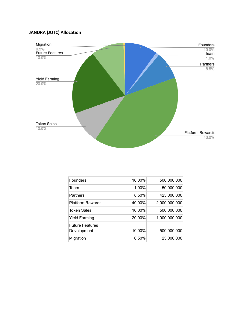# **JANDRA (JUTC) Allocation**



| <b>Founders</b>                       | 10.00% | 500,000,000   |
|---------------------------------------|--------|---------------|
| Team                                  | 1.00%  | 50,000,000    |
| Partners                              | 8.50%  | 425,000,000   |
| <b>Platform Rewards</b>               | 40.00% | 2,000,000,000 |
| <b>Token Sales</b>                    | 10.00% | 500,000,000   |
| <b>Yield Farming</b>                  | 20.00% | 1,000,000,000 |
| <b>Future Features</b><br>Development | 10.00% | 500,000,000   |
| Migration                             | 0.50%  | 25,000,000    |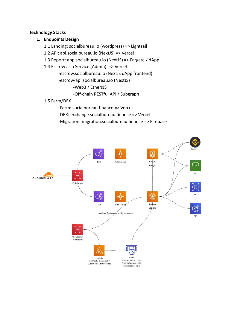# **Technology Stacks**

- **1. Endpoints Design**
	- 1.1 Landing: socialbureau.io (wordpress) => Lightsail
	- 1.2 API: api.socialbureau.io (NextJS) => Vercel
	- 1.3 Report: app.socialbureau.io (NextJS) => Fargate / dApp
	- 1.4 Escrow as a Service (Admin): => Vercel
		- -escrow.socialbureau.io (NextJS dApp frontend)
		- -escrow-api.socialbureau.io (NextJS)

# -Web3 / EthersJS

- -Off-chain RESTful API / Subgraph
- 1.5 Farm/DEX
	- -Farm: socialbureau.finance => Vercel
	- -DEX: exchange.socialbureau.finance => Vercel
	- -Migration: migration.socialbureau.finance => Firebase

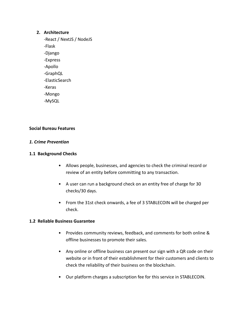# **2. Architecture**

-React / NextJS / NodeJS -Flask -Django -Express -Apollo -GraphQL -ElasticSearch -Keras -Mongo -MySQL

# **Social Bureau Features**

#### *1. Crime Prevention*

#### **1.1 Background Checks**

- Allows people, businesses, and agencies to check the criminal record or review of an entity before committing to any transaction.
- A user can run a background check on an entity free of charge for 30 checks/30 days.
- From the 31st check onwards, a fee of 3 STABLECOIN will be charged per check.

## **1.2 Reliable Business Guarantee**

- Provides community reviews, feedback, and comments for both online & offline businesses to promote their sales.
- Any online or offline business can present our sign with a QR code on their website or in front of their establishment for their customers and clients to check the reliability of their business on the blockchain.
- Our platform charges a subscription fee for this service in STABLECOIN.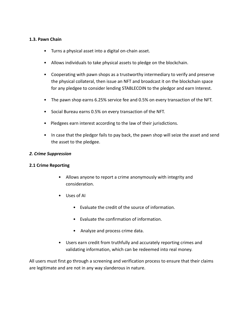# **1.3. Pawn Chain**

- Turns a physical asset into a digital on-chain asset.
- Allows individuals to take physical assets to pledge on the blockchain.
- Cooperating with pawn shops as a trustworthy intermediary to verify and preserve the physical collateral, then issue an NFT and broadcast it on the blockchain space for any pledgee to consider lending STABLECOIN to the pledgor and earn Interest.
- The pawn shop earns 6.25% service fee and 0.5% on every transaction of the NFT.
- Social Bureau earns 0.5% on every transaction of the NFT.
- Pledgees earn interest according to the law of their jurisdictions.
- In case that the pledgor fails to pay back, the pawn shop will seize the asset and send the asset to the pledgee.

#### *2. Crime Suppression*

#### **2.1 Crime Reporting**

- Allows anyone to report a crime anonymously with integrity and consideration.
- Uses of AI
	- Evaluate the credit of the source of information.
	- Evaluate the confirmation of information.
	- Analyze and process crime data.
- Users earn credit from truthfully and accurately reporting crimes and validating information, which can be redeemed into real money.

All users must first go through a screening and verification process to ensure that their claims are legitimate and are not in any way slanderous in nature.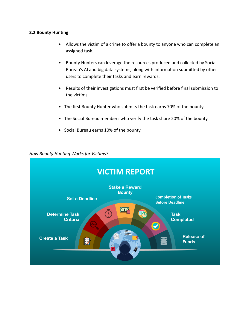#### **2.2 Bounty Hunting**

- Allows the victim of a crime to offer a bounty to anyone who can complete an assigned task.
- Bounty Hunters can leverage the resources produced and collected by Social Bureau's AI and big data systems, along with information submitted by other users to complete their tasks and earn rewards.
- Results of their investigations must first be verified before final submission to the victims.
- The first Bounty Hunter who submits the task earns 70% of the bounty.
- The Social Bureau members who verify the task share 20% of the bounty.
- Social Bureau earns 10% of the bounty.



*How Bounty Hunting Works for Victims?*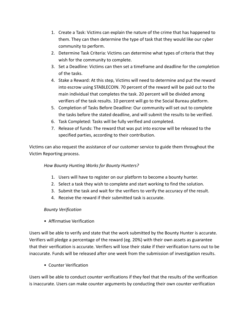- 1. Create a Task: Victims can explain the nature of the crime that has happened to them. They can then determine the type of task that they would like our cyber community to perform.
- 2. Determine Task Criteria: Victims can determine what types of criteria that they wish for the community to complete.
- 3. Set a Deadline: Victims can then set a timeframe and deadline for the completion of the tasks.
- 4. Stake a Reward: At this step, Victims will need to determine and put the reward into escrow using STABLECOIN. 70 percent of the reward will be paid out to the main individual that completes the task. 20 percent will be divided among verifiers of the task results. 10 percent will go to the Social Bureau platform.
- 5. Completion of Tasks Before Deadline: Our community will set out to complete the tasks before the stated deadline, and will submit the results to be verified.
- 6. Task Completed: Tasks will be fully verified and completed.
- 7. Release of funds: The reward that was put into escrow will be released to the specified parties, according to their contribution.

Victims can also request the assistance of our customer service to guide them throughout the Victim Reporting process.

# *How Bounty Hunting Works for Bounty Hunters?*

- 1. Users will have to register on our platform to become a bounty hunter.
- 2. Select a task they wish to complete and start working to find the solution.
- 3. Submit the task and wait for the verifiers to verify the accuracy of the result.
- 4. Receive the reward if their submitted task is accurate.

# *Bounty Verification*

• Affirmative Verification

Users will be able to verify and state that the work submitted by the Bounty Hunter is accurate. Verifiers will pledge a percentage of the reward (eg. 20%) with their own assets as guarantee that their verification is accurate. Verifiers will lose their stake if their verification turns out to be inaccurate. Funds will be released after one week from the submission of investigation results.

• Counter Verification

Users will be able to conduct counter verifications if they feel that the results of the verification is inaccurate. Users can make counter arguments by conducting their own counter verification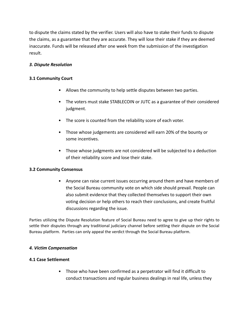to dispute the claims stated by the verifier. Users will also have to stake their funds to dispute the claims, as a guarantee that they are accurate. They will lose their stake if they are deemed inaccurate. Funds will be released after one week from the submission of the investigation result.

# *3. Dispute Resolution*

# **3.1 Community Court**

- Allows the community to help settle disputes between two parties.
- The voters must stake STABLECOIN or JUTC as a guarantee of their considered judgment.
- The score is counted from the reliability score of each voter.
- Those whose judgements are considered will earn 20% of the bounty or some incentives.
- Those whose judgments are not considered will be subjected to a deduction of their reliability score and lose their stake.

# **3.2 Community Consensus**

• Anyone can raise current issues occurring around them and have members of the Social Bureau community vote on which side should prevail. People can also submit evidence that they collected themselves to support their own voting decision or help others to reach their conclusions, and create fruitful discussions regarding the issue.

Parties utilizing the Dispute Resolution feature of Social Bureau need to agree to give up their rights to settle their disputes through any traditional judiciary channel before settling their dispute on the Social Bureau platform. Parties can only appeal the verdict through the Social Bureau platform.

# *4. Victim Compensation*

# **4.1 Case Settlement**

• Those who have been confirmed as a perpetrator will find it difficult to conduct transactions and regular business dealings in real life, unless they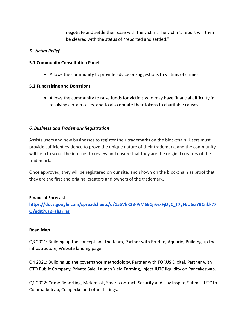negotiate and settle their case with the victim. The victim's report will then be cleared with the status of "reported and settled."

## *5. Victim Relief*

## **5.1 Community Consultation Panel**

• Allows the community to provide advice or suggestions to victims of crimes.

# **5.2 Fundraising and Donations**

• Allows the community to raise funds for victims who may have financial difficulty in resolving certain cases, and to also donate their tokens to charitable causes.

# *6. Business and Trademark Registration*

Assists users and new businesses to register their trademarks on the blockchain. Users must provide sufficient evidence to prove the unique nature of their trademark, and the community will help to scour the internet to review and ensure that they are the original creators of the trademark.

Once approved, they will be registered on our site, and shown on the blockchain as proof that they are the first and original creators and owners of the trademark.

#### **Financial Forecast**

**[https://docs.google.com/spreadsheets/d/1a5VkK33-PiM6B1jr6rxFjDyC\\_T7gF6U6ciYBCnkk77](https://docs.google.com/spreadsheets/d/1a5VkK33-PiM6B1jr6rxFjDyC_T7gF6U6ciYBCnkk77Q/edit?usp=sharing) [Q/edit?usp=sharing](https://docs.google.com/spreadsheets/d/1a5VkK33-PiM6B1jr6rxFjDyC_T7gF6U6ciYBCnkk77Q/edit?usp=sharing)**

#### **Road Map**

Q3 2021: Building up the concept and the team, Partner with Erudite, Aquario, Building up the infrastructure, Website landing page.

Q4 2021: Building up the governance methodology, Partner with FORUS Digital, Partner with OTO Public Company, Private Sale, Launch Yield Farming, Inject JUTC liquidity on Pancakeswap.

Q1 2022: Crime Reporting, Metamask, Smart contract, Security audit by Inspex, Submit JUTC to Coinmarketcap, Coingecko and other listings.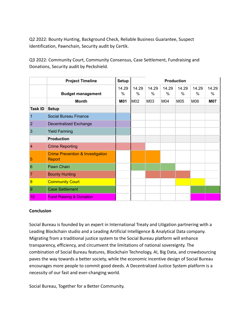Q2 2022: Bounty Hunting, Background Check, Reliable Business Guarantee, Suspect Identification, Pawnchain, Security audit by Certik.

Q3 2022: Community Court, Community Consensus, Case Settlement, Fundraising and Donations, Security audit by Peckshield.

|                         | <b>Project Timeline</b>                               | <b>Setup</b> |            | <b>Production</b> |            |            |            |            |  |
|-------------------------|-------------------------------------------------------|--------------|------------|-------------------|------------|------------|------------|------------|--|
|                         | <b>Budget management</b>                              | 14.29<br>%   | 14.29<br>% | 14.29<br>%        | 14.29<br>% | 14.29<br>% | 14.29<br>% | 14.29<br>% |  |
|                         | <b>Month</b>                                          | <b>M01</b>   | M02        | M03               | M04        | M05        | M06        | <b>M07</b> |  |
| <b>Task ID</b>          | <b>Setup</b>                                          |              |            |                   |            |            |            |            |  |
| 1                       | Social Bureau Finance                                 |              |            |                   |            |            |            |            |  |
| $\overline{2}$          | <b>Decentralized Exchange</b>                         |              |            |                   |            |            |            |            |  |
| $\overline{3}$          | <b>Yield Farming</b>                                  |              |            |                   |            |            |            |            |  |
|                         | <b>Production</b>                                     |              |            |                   |            |            |            |            |  |
| $\overline{4}$          | <b>Crime Reporting</b>                                |              |            |                   |            |            |            |            |  |
| 5                       | <b>Crime Prevention &amp; Investigation</b><br>Report |              |            |                   |            |            |            |            |  |
| 6                       | <b>Pawn Chain</b>                                     |              |            |                   |            |            |            |            |  |
| $\overline{7}$          | <b>Bounty Hunting</b>                                 |              |            |                   |            |            |            |            |  |
| $\overline{\mathbf{8}}$ | <b>Community Court</b>                                |              |            |                   |            |            |            |            |  |
| $\overline{9}$          | <b>Case Settlement</b>                                |              |            |                   |            |            |            |            |  |
| 10                      | <b>Fund Raising &amp; Donation</b>                    |              |            |                   |            |            |            |            |  |

#### **Conclusion**

Social Bureau is founded by an expert in International Treaty and Litigation partnering with a Leading Blockchain studio and a Leading Artificial Intelligence & Analytical Data company. Migrating from a traditional justice system to the Social Bureau platform will enhance transparency, efficiency, and circumvent the limitations of national sovereignty. The combination of Social Bureau features, Blockchain Technology, AI, Big Data, and crowdsourcing paves the way towards a better society, while the economic incentive design of Social Bureau encourages more people to commit good deeds. A Decentralized Justice System platform is a necessity of our fast and ever-changing world.

Social Bureau, Together for a Better Community.